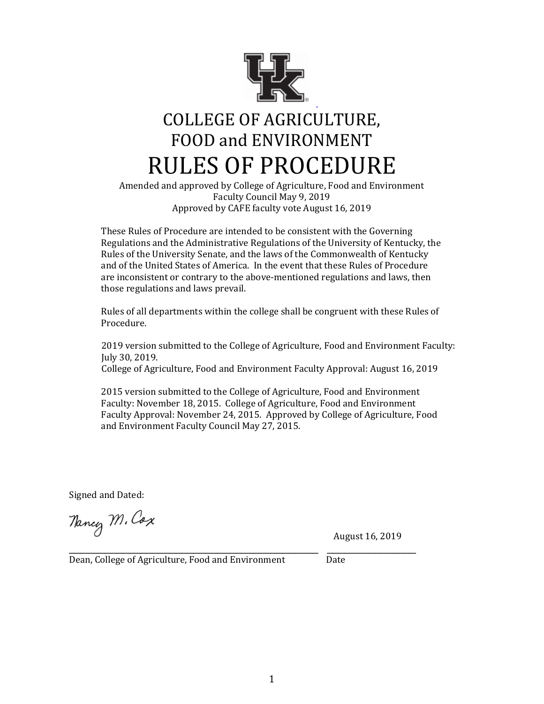

# COLLEGE OF AGRICULTURE, FOOD and ENVIRONMENT RULES OF PROCEDURE

Amended and approved by College of Agriculture, Food and Environment Faculty Council May 9, 2019 Approved by CAFE faculty vote August 16, 2019

These Rules of Procedure are intended to be consistent with the Governing Regulations and the Administrative Regulations of the University of Kentucky, the Rules of the University Senate, and the laws of the Commonwealth of Kentucky and of the United States of America. In the event that these Rules of Procedure are inconsistent or contrary to the above-mentioned regulations and laws, then those regulations and laws prevail.

Rules of all departments within the college shall be congruent with these Rules of Procedure.

 2019 version submitted to the College of Agriculture, Food and Environment Faculty: July 30, 2019. College of Agriculture, Food and Environment Faculty Approval: August 16, 2019

2015 version submitted to the College of Agriculture, Food and Environment Faculty: November 18, 2015. College of Agriculture, Food and Environment Faculty Approval: November 24, 2015. Approved by College of Agriculture, Food and Environment Faculty Council May 27, 2015.

Signed and Dated:

Nancy M. Cox

August 16, 2019

Dean, College of Agriculture, Food and Environment Date

\_\_\_\_\_\_\_\_\_\_\_\_\_\_\_\_\_\_\_\_\_\_\_\_\_\_\_\_\_\_\_\_\_\_\_\_\_\_\_\_\_\_ \_\_\_\_\_\_\_\_\_\_\_\_\_\_\_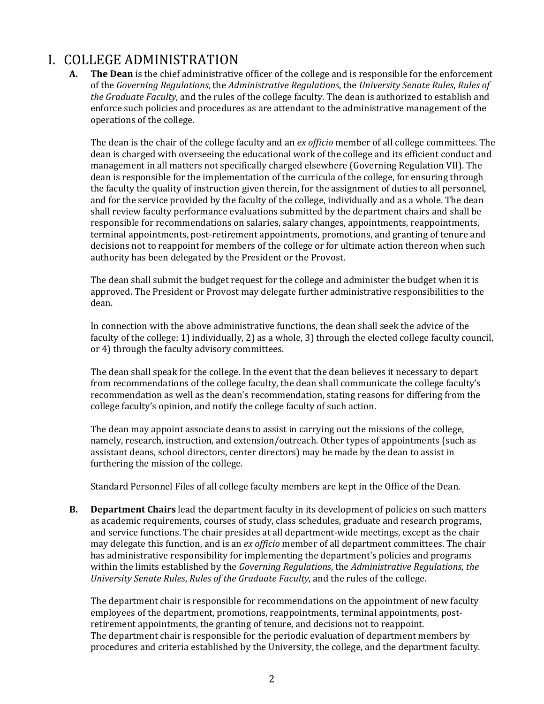## I. COLLEGE ADMINISTRATION

**A. The Dean** is the chief administrative officer of the college and is responsible for the enforcement of the *Governing Regulations*, the *Administrative Regulations*, the *University Senate Rules*, *Rules of the Graduate Faculty*, and the rules of the college faculty. The dean is authorized to establish and enforce such policies and procedures as are attendant to the administrative management of the operations of the college.

The dean is the chair of the college faculty and an *ex officio* member of all college committees. The dean is charged with overseeing the educational work of the college and its efficient conduct and management in all matters not specifically charged elsewhere (Governing Regulation VII). The dean is responsible for the implementation of the curricula of the college, for ensuring through the faculty the quality of instruction given therein, for the assignment of duties to all personnel, and for the service provided by the faculty of the college, individually and as a whole. The dean shall review faculty performance evaluations submitted by the department chairs and shall be responsible for recommendations on salaries, salary changes, appointments, reappointments, terminal appointments, post-retirement appointments, promotions, and granting of tenure and decisions not to reappoint for members of the college or for ultimate action thereon when such authority has been delegated by the President or the Provost.

The dean shall submit the budget request for the college and administer the budget when it is approved. The President or Provost may delegate further administrative responsibilities to the dean.

In connection with the above administrative functions, the dean shall seek the advice of the faculty of the college: 1) individually, 2) as a whole, 3) through the elected college faculty council, or 4) through the faculty advisory committees.

The dean shall speak for the college. In the event that the dean believes it necessary to depart from recommendations of the college faculty, the dean shall communicate the college faculty's recommendation as well as the dean's recommendation, stating reasons for differing from the college faculty's opinion, and notify the college faculty of such action.

The dean may appoint associate deans to assist in carrying out the missions of the college, namely, research, instruction, and extension/outreach. Other types of appointments (such as assistant deans, school directors, center directors) may be made by the dean to assist in furthering the mission of the college.

Standard Personnel Files of all college faculty members are kept in the Office of the Dean.

**B. Department Chairs** lead the department faculty in its development of policies on such matters as academic requirements, courses of study, class schedules, graduate and research programs, and service functions. The chair presides at all department-wide meetings, except as the chair may delegate this function, and is an *ex officio* member of all department committees. The chair has administrative responsibility for implementing the department's policies and programs within the limits established by the *Governing Regulations*, the *Administrative Regulations*, *the University Senate Rules*, *Rules of the Graduate Faculty*, and the rules of the college.

The department chair is responsible for recommendations on the appointment of new faculty employees of the department, promotions, reappointments, terminal appointments, postretirement appointments, the granting of tenure, and decisions not to reappoint. The department chair is responsible for the periodic evaluation of department members by procedures and criteria established by the University, the college, and the department faculty.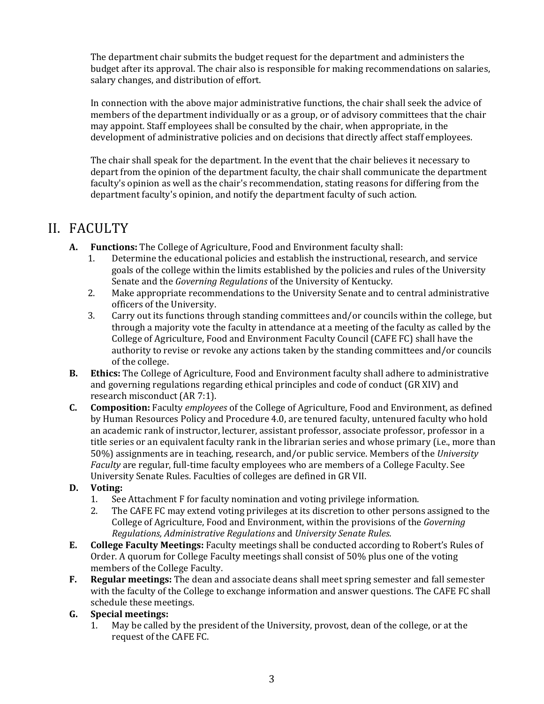The department chair submits the budget request for the department and administers the budget after its approval. The chair also is responsible for making recommendations on salaries, salary changes, and distribution of effort.

In connection with the above major administrative functions, the chair shall seek the advice of members of the department individually or as a group, or of advisory committees that the chair may appoint. Staff employees shall be consulted by the chair, when appropriate, in the development of administrative policies and on decisions that directly affect staff employees.

The chair shall speak for the department. In the event that the chair believes it necessary to depart from the opinion of the department faculty, the chair shall communicate the department faculty's opinion as well as the chair's recommendation, stating reasons for differing from the department faculty's opinion, and notify the department faculty of such action.

### II. FACULTY

- **A. Functions:** The College of Agriculture, Food and Environment faculty shall:
	- 1. Determine the educational policies and establish the instructional, research, and service goals of the college within the limits established by the policies and rules of the University Senate and the *Governing Regulations* of the University of Kentucky.
	- 2. Make appropriate recommendations to the University Senate and to central administrative officers of the University.
	- 3. Carry out its functions through standing committees and/or councils within the college, but through a majority vote the faculty in attendance at a meeting of the faculty as called by the College of Agriculture, Food and Environment Faculty Council (CAFE FC) shall have the authority to revise or revoke any actions taken by the standing committees and/or councils of the college.
- **B. Ethics:** The College of Agriculture, Food and Environment faculty shall adhere to administrative and governing regulations regarding ethical principles and code of conduct (GR XIV) and research misconduct (AR 7:1).
- **C. Composition:** Faculty *employees* of the College of Agriculture, Food and Environment, as defined by Human Resources Policy and Procedure 4.0, are tenured faculty, untenured faculty who hold an academic rank of instructor, lecturer, assistant professor, associate professor, professor in a title series or an equivalent faculty rank in the librarian series and whose primary (i.e., more than 50%) assignments are in teaching, research, and/or public service. Members of the *University Faculty* are regular, full-time faculty employees who are members of a College Faculty. See University Senate Rules. Faculties of colleges are defined in GR VII.

### **D. Voting:**

- 1. See Attachment F for faculty nomination and voting privilege information.
- 2. The CAFE FC may extend voting privileges at its discretion to other persons assigned to the College of Agriculture, Food and Environment, within the provisions of the *Governing Regulations, Administrative Regulations* and *University Senate Rules*.
- **E. College Faculty Meetings:** Faculty meetings shall be conducted according to Robert's Rules of Order. A quorum for College Faculty meetings shall consist of 50% plus one of the voting members of the College Faculty.
- **F. Regular meetings:** The dean and associate deans shall meet spring semester and fall semester with the faculty of the College to exchange information and answer questions. The CAFE FC shall schedule these meetings.

### **G. Special meetings:**

1. May be called by the president of the University, provost, dean of the college, or at the request of the CAFE FC.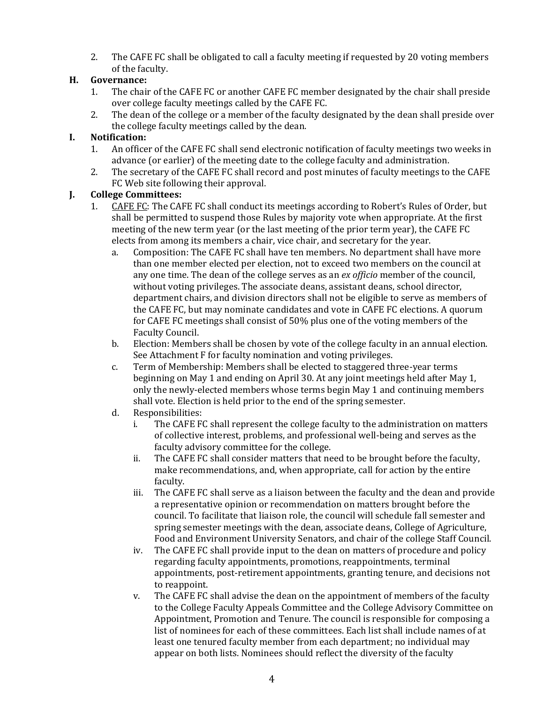2. The CAFE FC shall be obligated to call a faculty meeting if requested by 20 voting members of the faculty.

### **H. Governance:**

- 1. The chair of the CAFE FC or another CAFE FC member designated by the chair shall preside over college faculty meetings called by the CAFE FC.
- 2. The dean of the college or a member of the faculty designated by the dean shall preside over the college faculty meetings called by the dean.

### **I. Notification:**

- 1. An officer of the CAFE FC shall send electronic notification of faculty meetings two weeks in advance (or earlier) of the meeting date to the college faculty and administration.
- 2. The secretary of the CAFE FC shall record and post minutes of faculty meetings to the CAFE FC Web site following their approval.

### **J. College Committees:**

- 1. CAFE FC: The CAFE FC shall conduct its meetings according to Robert's Rules of Order, but shall be permitted to suspend those Rules by majority vote when appropriate. At the first meeting of the new term year (or the last meeting of the prior term year), the CAFE FC elects from among its members a chair, vice chair, and secretary for the year.
	- a. Composition: The CAFE FC shall have ten members. No department shall have more than one member elected per election, not to exceed two members on the council at any one time. The dean of the college serves as an *ex officio* member of the council, without voting privileges. The associate deans, assistant deans, school director, department chairs, and division directors shall not be eligible to serve as members of the CAFE FC, but may nominate candidates and vote in CAFE FC elections. A quorum for CAFE FC meetings shall consist of 50% plus one of the voting members of the Faculty Council.
	- b. Election: Members shall be chosen by vote of the college faculty in an annual election. See Attachment F for faculty nomination and voting privileges.
	- c. Term of Membership: Members shall be elected to staggered three-year terms beginning on May 1 and ending on April 30. At any joint meetings held after May 1, only the newly-elected members whose terms begin May 1 and continuing members shall vote. Election is held prior to the end of the spring semester.
	- d. Responsibilities:
		- i. The CAFE FC shall represent the college faculty to the administration on matters of collective interest, problems, and professional well-being and serves as the faculty advisory committee for the college.
		- ii. The CAFE FC shall consider matters that need to be brought before the faculty, make recommendations, and, when appropriate, call for action by the entire faculty.
		- iii. The CAFE FC shall serve as a liaison between the faculty and the dean and provide a representative opinion or recommendation on matters brought before the council. To facilitate that liaison role, the council will schedule fall semester and spring semester meetings with the dean, associate deans, College of Agriculture, Food and Environment University Senators, and chair of the college Staff Council.
		- iv. The CAFE FC shall provide input to the dean on matters of procedure and policy regarding faculty appointments, promotions, reappointments, terminal appointments, post-retirement appointments, granting tenure, and decisions not to reappoint.
		- v. The CAFE FC shall advise the dean on the appointment of members of the faculty to the College Faculty Appeals Committee and the College Advisory Committee on Appointment, Promotion and Tenure. The council is responsible for composing a list of nominees for each of these committees. Each list shall include names of at least one tenured faculty member from each department; no individual may appear on both lists. Nominees should reflect the diversity of the faculty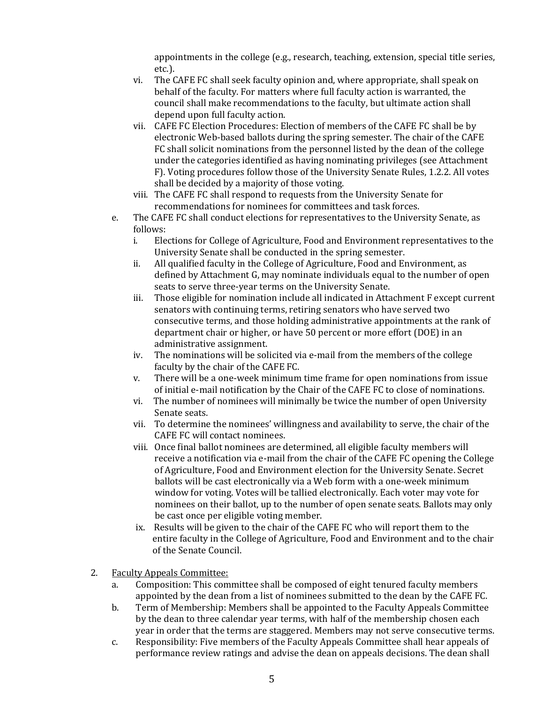appointments in the college (e.g., research, teaching, extension, special title series, etc.).

- vi. The CAFE FC shall seek faculty opinion and, where appropriate, shall speak on behalf of the faculty. For matters where full faculty action is warranted, the council shall make recommendations to the faculty, but ultimate action shall depend upon full faculty action.
- vii. CAFE FC Election Procedures: Election of members of the CAFE FC shall be by electronic Web-based ballots during the spring semester. The chair of the CAFE FC shall solicit nominations from the personnel listed by the dean of the college under the categories identified as having nominating privileges (see Attachment F). Voting procedures follow those of the University Senate Rules, 1.2.2. All votes shall be decided by a majority of those voting.
- viii. The CAFE FC shall respond to requests from the University Senate for recommendations for nominees for committees and task forces.
- e. The CAFE FC shall conduct elections for representatives to the University Senate, as follows:
	- i. Elections for College of Agriculture, Food and Environment representatives to the University Senate shall be conducted in the spring semester.
	- ii. All qualified faculty in the College of Agriculture, Food and Environment, as defined by Attachment G, may nominate individuals equal to the number of open seats to serve three-year terms on the University Senate.
	- iii. Those eligible for nomination include all indicated in Attachment F except current senators with continuing terms, retiring senators who have served two consecutive terms, and those holding administrative appointments at the rank of department chair or higher, or have 50 percent or more effort (DOE) in an administrative assignment.
	- iv. The nominations will be solicited via e-mail from the members of the college faculty by the chair of the CAFE FC.
	- v. There will be a one-week minimum time frame for open nominations from issue of initial e-mail notification by the Chair of the CAFE FC to close of nominations.
	- vi. The number of nominees will minimally be twice the number of open University Senate seats.
	- vii. To determine the nominees' willingness and availability to serve, the chair of the CAFE FC will contact nominees.
	- viii. Once final ballot nominees are determined, all eligible faculty members will receive a notification via e-mail from the chair of the CAFE FC opening the College of Agriculture, Food and Environment election for the University Senate. Secret ballots will be cast electronically via a Web form with a one-week minimum window for voting. Votes will be tallied electronically. Each voter may vote for nominees on their ballot, up to the number of open senate seats. Ballots may only be cast once per eligible voting member.
	- ix. Results will be given to the chair of the CAFE FC who will report them to the entire faculty in the College of Agriculture, Food and Environment and to the chair of the Senate Council.
- 2. Faculty Appeals Committee:
	- a. Composition: This committee shall be composed of eight tenured faculty members appointed by the dean from a list of nominees submitted to the dean by the CAFE FC.
	- b. Term of Membership: Members shall be appointed to the Faculty Appeals Committee by the dean to three calendar year terms, with half of the membership chosen each year in order that the terms are staggered. Members may not serve consecutive terms.
	- c. Responsibility: Five members of the Faculty Appeals Committee shall hear appeals of performance review ratings and advise the dean on appeals decisions. The dean shall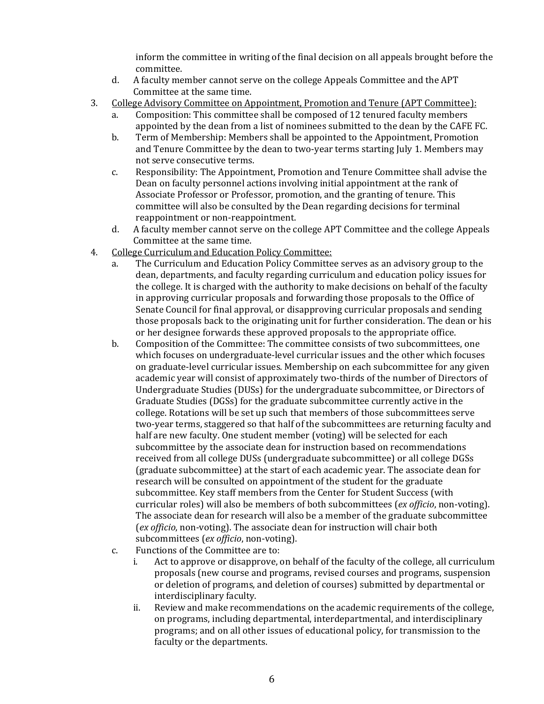inform the committee in writing of the final decision on all appeals brought before the committee.

- d. A faculty member cannot serve on the college Appeals Committee and the APT Committee at the same time.
- 3. College Advisory Committee on Appointment, Promotion and Tenure (APT Committee):
	- a. Composition: This committee shall be composed of 12 tenured faculty members appointed by the dean from a list of nominees submitted to the dean by the CAFE FC.
	- b. Term of Membership: Members shall be appointed to the Appointment, Promotion and Tenure Committee by the dean to two-year terms starting July 1. Members may not serve consecutive terms.
	- c. Responsibility: The Appointment, Promotion and Tenure Committee shall advise the Dean on faculty personnel actions involving initial appointment at the rank of Associate Professor or Professor, promotion, and the granting of tenure. This committee will also be consulted by the Dean regarding decisions for terminal reappointment or non-reappointment.
	- d. A faculty member cannot serve on the college APT Committee and the college Appeals Committee at the same time.
- 4. College Curriculum and Education Policy Committee:
	- a. The Curriculum and Education Policy Committee serves as an advisory group to the dean, departments, and faculty regarding curriculum and education policy issues for the college. It is charged with the authority to make decisions on behalf of the faculty in approving curricular proposals and forwarding those proposals to the Office of Senate Council for final approval, or disapproving curricular proposals and sending those proposals back to the originating unit for further consideration. The dean or his or her designee forwards these approved proposals to the appropriate office.
	- b. Composition of the Committee: The committee consists of two subcommittees, one which focuses on undergraduate-level curricular issues and the other which focuses on graduate-level curricular issues. Membership on each subcommittee for any given academic year will consist of approximately two-thirds of the number of Directors of Undergraduate Studies (DUSs) for the undergraduate subcommittee, or Directors of Graduate Studies (DGSs) for the graduate subcommittee currently active in the college. Rotations will be set up such that members of those subcommittees serve two-year terms, staggered so that half of the subcommittees are returning faculty and half are new faculty. One student member (voting) will be selected for each subcommittee by the associate dean for instruction based on recommendations received from all college DUSs (undergraduate subcommittee) or all college DGSs (graduate subcommittee) at the start of each academic year. The associate dean for research will be consulted on appointment of the student for the graduate subcommittee. Key staff members from the Center for Student Success (with curricular roles) will also be members of both subcommittees (*ex officio*, non-voting). The associate dean for research will also be a member of the graduate subcommittee (*ex officio*, non-voting). The associate dean for instruction will chair both subcommittees (*ex officio*, non-voting).
	- c. Functions of the Committee are to:
		- i. Act to approve or disapprove, on behalf of the faculty of the college, all curriculum proposals (new course and programs, revised courses and programs, suspension or deletion of programs, and deletion of courses) submitted by departmental or interdisciplinary faculty.
		- ii. Review and make recommendations on the academic requirements of the college, on programs, including departmental, interdepartmental, and interdisciplinary programs; and on all other issues of educational policy, for transmission to the faculty or the departments.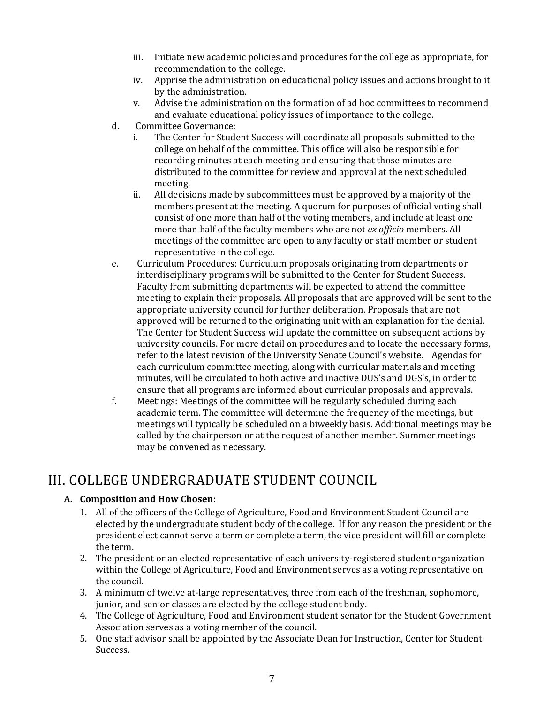- iii. Initiate new academic policies and procedures for the college as appropriate, for recommendation to the college.
- iv. Apprise the administration on educational policy issues and actions brought to it by the administration.
- v. Advise the administration on the formation of ad hoc committees to recommend and evaluate educational policy issues of importance to the college.
- d. Committee Governance:
	- i. The Center for Student Success will coordinate all proposals submitted to the college on behalf of the committee. This office will also be responsible for recording minutes at each meeting and ensuring that those minutes are distributed to the committee for review and approval at the next scheduled meeting.
	- ii. All decisions made by subcommittees must be approved by a majority of the members present at the meeting. A quorum for purposes of official voting shall consist of one more than half of the voting members, and include at least one more than half of the faculty members who are not *ex officio* members. All meetings of the committee are open to any faculty or staff member or student representative in the college.
- e. Curriculum Procedures: Curriculum proposals originating from departments or interdisciplinary programs will be submitted to the Center for Student Success. Faculty from submitting departments will be expected to attend the committee meeting to explain their proposals. All proposals that are approved will be sent to the appropriate university council for further deliberation. Proposals that are not approved will be returned to the originating unit with an explanation for the denial. The Center for Student Success will update the committee on subsequent actions by university councils. For more detail on procedures and to locate the necessary forms, refer to the latest revision of the University Senate Council's website. Agendas for each curriculum committee meeting, along with curricular materials and meeting minutes, will be circulated to both active and inactive DUS's and DGS's, in order to ensure that all programs are informed about curricular proposals and approvals.
- f. Meetings: Meetings of the committee will be regularly scheduled during each academic term. The committee will determine the frequency of the meetings, but meetings will typically be scheduled on a biweekly basis. Additional meetings may be called by the chairperson or at the request of another member. Summer meetings may be convened as necessary.

# III. COLLEGE UNDERGRADUATE STUDENT COUNCIL

### **A. Composition and How Chosen:**

- 1. All of the officers of the College of Agriculture, Food and Environment Student Council are elected by the undergraduate student body of the college. If for any reason the president or the president elect cannot serve a term or complete a term, the vice president will fill or complete the term.
- 2. The president or an elected representative of each university-registered student organization within the College of Agriculture, Food and Environment serves as a voting representative on the council.
- 3. A minimum of twelve at-large representatives, three from each of the freshman, sophomore, junior, and senior classes are elected by the college student body.
- 4. The College of Agriculture, Food and Environment student senator for the Student Government Association serves as a voting member of the council.
- 5. One staff advisor shall be appointed by the Associate Dean for Instruction, Center for Student Success.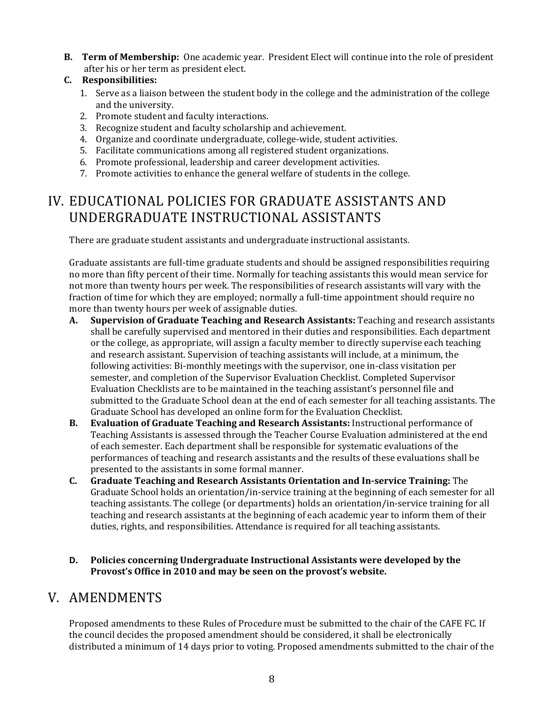**B. Term of Membership:** One academic year. President Elect will continue into the role of president after his or her term as president elect.

### **C. Responsibilities:**

- 1. Serve as a liaison between the student body in the college and the administration of the college and the university.
- 2. Promote student and faculty interactions.
- 3. Recognize student and faculty scholarship and achievement.
- 4. Organize and coordinate undergraduate, college-wide, student activities.
- 5. Facilitate communications among all registered student organizations.
- 6. Promote professional, leadership and career development activities.
- 7. Promote activities to enhance the general welfare of students in the college.

# IV. EDUCATIONAL POLICIES FOR GRADUATE ASSISTANTS AND UNDERGRADUATE INSTRUCTIONAL ASSISTANTS

There are graduate student assistants and undergraduate instructional assistants.

Graduate assistants are full-time graduate students and should be assigned responsibilities requiring no more than fifty percent of their time. Normally for teaching assistants this would mean service for not more than twenty hours per week. The responsibilities of research assistants will vary with the fraction of time for which they are employed; normally a full-time appointment should require no more than twenty hours per week of assignable duties.

- **A. Supervision of Graduate Teaching and Research Assistants:** Teaching and research assistants shall be carefully supervised and mentored in their duties and responsibilities. Each department or the college, as appropriate, will assign a faculty member to directly supervise each teaching and research assistant. Supervision of teaching assistants will include, at a minimum, the following activities: Bi-monthly meetings with the supervisor, one in-class visitation per semester, and completion of the Supervisor Evaluation Checklist. Completed Supervisor Evaluation Checklists are to be maintained in the teaching assistant's personnel file and submitted to the Graduate School dean at the end of each semester for all teaching assistants. The Graduate School has developed an online form for the Evaluation Checklist.
- **B. Evaluation of Graduate Teaching and Research Assistants:** Instructional performance of Teaching Assistants is assessed through the Teacher Course Evaluation administered at the end of each semester. Each department shall be responsible for systematic evaluations of the performances of teaching and research assistants and the results of these evaluations shall be presented to the assistants in some formal manner.
- **C. Graduate Teaching and Research Assistants Orientation and In‐service Training:** The Graduate School holds an orientation/in-service training at the beginning of each semester for all teaching assistants. The college (or departments) holds an orientation/in-service training for all teaching and research assistants at the beginning of each academic year to inform them of their duties, rights, and responsibilities. Attendance is required for all teaching assistants.
- **D. Policies concerning Undergraduate Instructional Assistants were developed by the Provost's Office in 2010 and may be seen on the provost's website.**

### V. AMENDMENTS

Proposed amendments to these Rules of Procedure must be submitted to the chair of the CAFE FC. If the council decides the proposed amendment should be considered, it shall be electronically distributed a minimum of 14 days prior to voting. Proposed amendments submitted to the chair of the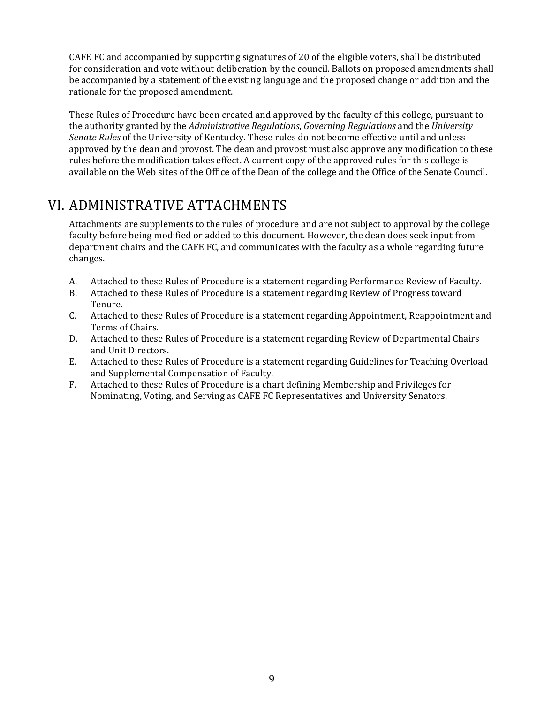CAFE FC and accompanied by supporting signatures of 20 of the eligible voters, shall be distributed for consideration and vote without deliberation by the council. Ballots on proposed amendments shall be accompanied by a statement of the existing language and the proposed change or addition and the rationale for the proposed amendment.

These Rules of Procedure have been created and approved by the faculty of this college, pursuant to the authority granted by the *Administrative Regulations*, *Governing Regulations* and the *University Senate Rules* of the University of Kentucky. These rules do not become effective until and unless approved by the dean and provost. The dean and provost must also approve any modification to these rules before the modification takes effect. A current copy of the approved rules for this college is available on the Web sites of the Office of the Dean of the college and the Office of the Senate Council.

### VI. ADMINISTRATIVE ATTACHMENTS

Attachments are supplements to the rules of procedure and are not subject to approval by the college faculty before being modified or added to this document. However, the dean does seek input from department chairs and the CAFE FC, and communicates with the faculty as a whole regarding future changes.

- A. Attached to these Rules of Procedure is a statement regarding Performance Review of Faculty.
- B. Attached to these Rules of Procedure is a statement regarding Review of Progress toward Tenure.
- C. Attached to these Rules of Procedure is a statement regarding Appointment, Reappointment and Terms of Chairs.
- D. Attached to these Rules of Procedure is a statement regarding Review of Departmental Chairs and Unit Directors.
- E. Attached to these Rules of Procedure is a statement regarding Guidelines for Teaching Overload and Supplemental Compensation of Faculty.
- F. Attached to these Rules of Procedure is a chart defining Membership and Privileges for Nominating, Voting, and Serving as CAFE FC Representatives and University Senators.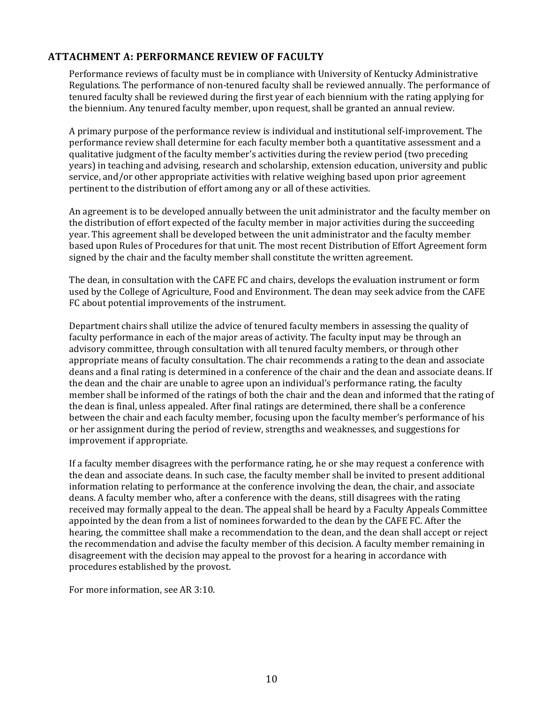### **ATTACHMENT A: PERFORMANCE REVIEW OF FACULTY**

Performance reviews of faculty must be in compliance with University of Kentucky Administrative Regulations. The performance of non-tenured faculty shall be reviewed annually. The performance of tenured faculty shall be reviewed during the first year of each biennium with the rating applying for the biennium. Any tenured faculty member, upon request, shall be granted an annual review.

A primary purpose of the performance review is individual and institutional self-improvement. The performance review shall determine for each faculty member both a quantitative assessment and a qualitative judgment of the faculty member's activities during the review period (two preceding years) in teaching and advising, research and scholarship, extension education, university and public service, and/or other appropriate activities with relative weighing based upon prior agreement pertinent to the distribution of effort among any or all of these activities.

An agreement is to be developed annually between the unit administrator and the faculty member on the distribution of effort expected of the faculty member in major activities during the succeeding year. This agreement shall be developed between the unit administrator and the faculty member based upon Rules of Procedures for that unit. The most recent Distribution of Effort Agreement form signed by the chair and the faculty member shall constitute the written agreement.

The dean, in consultation with the CAFE FC and chairs, develops the evaluation instrument or form used by the College of Agriculture, Food and Environment. The dean may seek advice from the CAFE FC about potential improvements of the instrument.

Department chairs shall utilize the advice of tenured faculty members in assessing the quality of faculty performance in each of the major areas of activity. The faculty input may be through an advisory committee, through consultation with all tenured faculty members, or through other appropriate means of faculty consultation. The chair recommends a rating to the dean and associate deans and a final rating is determined in a conference of the chair and the dean and associate deans. If the dean and the chair are unable to agree upon an individual's performance rating, the faculty member shall be informed of the ratings of both the chair and the dean and informed that the rating of the dean is final, unless appealed. After final ratings are determined, there shall be a conference between the chair and each faculty member, focusing upon the faculty member's performance of his or her assignment during the period of review, strengths and weaknesses, and suggestions for improvement if appropriate.

If a faculty member disagrees with the performance rating, he or she may request a conference with the dean and associate deans. In such case, the faculty member shall be invited to present additional information relating to performance at the conference involving the dean, the chair, and associate deans. A faculty member who, after a conference with the deans, still disagrees with the rating received may formally appeal to the dean. The appeal shall be heard by a Faculty Appeals Committee appointed by the dean from a list of nominees forwarded to the dean by the CAFE FC. After the hearing, the committee shall make a recommendation to the dean, and the dean shall accept or reject the recommendation and advise the faculty member of this decision. A faculty member remaining in disagreement with the decision may appeal to the provost for a hearing in accordance with procedures established by the provost.

For more information, see AR 3:10.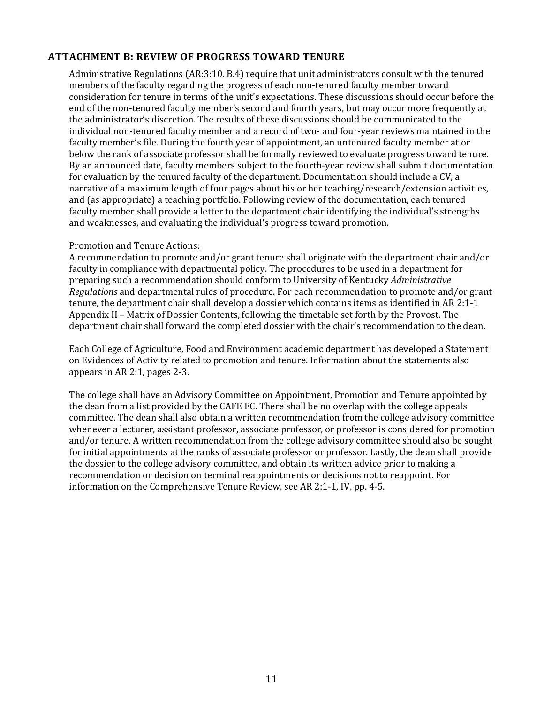### **ATTACHMENT B: REVIEW OF PROGRESS TOWARD TENURE**

Administrative Regulations (AR:3:10. B.4) require that unit administrators consult with the tenured members of the faculty regarding the progress of each non-tenured faculty member toward consideration for tenure in terms of the unit's expectations. These discussions should occur before the end of the non-tenured faculty member's second and fourth years, but may occur more frequently at the administrator's discretion. The results of these discussions should be communicated to the individual non-tenured faculty member and a record of two- and four-year reviews maintained in the faculty member's file. During the fourth year of appointment, an untenured faculty member at or below the rank of associate professor shall be formally reviewed to evaluate progress toward tenure. By an announced date, faculty members subject to the fourth-year review shall submit documentation for evaluation by the tenured faculty of the department. Documentation should include a CV, a narrative of a maximum length of four pages about his or her teaching/research/extension activities, and (as appropriate) a teaching portfolio. Following review of the documentation, each tenured faculty member shall provide a letter to the department chair identifying the individual's strengths and weaknesses, and evaluating the individual's progress toward promotion.

#### Promotion and Tenure Actions:

A recommendation to promote and/or grant tenure shall originate with the department chair and/or faculty in compliance with departmental policy. The procedures to be used in a department for preparing such a recommendation should conform to University of Kentucky *Administrative Regulations* and departmental rules of procedure. For each recommendation to promote and/or grant tenure, the department chair shall develop a dossier which contains items as identified in AR 2:1-1 Appendix II – Matrix of Dossier Contents, following the timetable set forth by the Provost. The department chair shall forward the completed dossier with the chair's recommendation to the dean.

Each College of Agriculture, Food and Environment academic department has developed a Statement on Evidences of Activity related to promotion and tenure. Information about the statements also appears in AR 2:1, pages 2-3.

The college shall have an Advisory Committee on Appointment, Promotion and Tenure appointed by the dean from a list provided by the CAFE FC. There shall be no overlap with the college appeals committee. The dean shall also obtain a written recommendation from the college advisory committee whenever a lecturer, assistant professor, associate professor, or professor is considered for promotion and/or tenure. A written recommendation from the college advisory committee should also be sought for initial appointments at the ranks of associate professor or professor. Lastly, the dean shall provide the dossier to the college advisory committee, and obtain its written advice prior to making a recommendation or decision on terminal reappointments or decisions not to reappoint. For information on the Comprehensive Tenure Review, see AR 2:1-1, IV, pp. 4-5.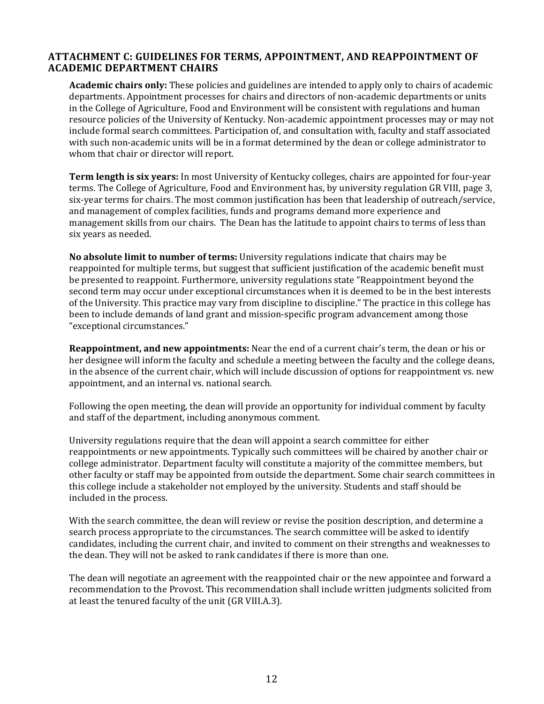### **ATTACHMENT C: GUIDELINES FOR TERMS, APPOINTMENT, AND REAPPOINTMENT OF ACADEMIC DEPARTMENT CHAIRS**

**Academic chairs only:** These policies and guidelines are intended to apply only to chairs of academic departments. Appointment processes for chairs and directors of non-academic departments or units in the College of Agriculture, Food and Environment will be consistent with regulations and human resource policies of the University of Kentucky. Non-academic appointment processes may or may not include formal search committees. Participation of, and consultation with, faculty and staff associated with such non-academic units will be in a format determined by the dean or college administrator to whom that chair or director will report.

**Term length is six years:** In most University of Kentucky colleges, chairs are appointed for four-year terms. The College of Agriculture, Food and Environment has, by university regulation GR VIII, page 3, six-year terms for chairs. The most common justification has been that leadership of outreach/service, and management of complex facilities, funds and programs demand more experience and management skills from our chairs. The Dean has the latitude to appoint chairs to terms of less than six years as needed.

**No absolute limit to number of terms:** University regulations indicate that chairs may be reappointed for multiple terms, but suggest that sufficient justification of the academic benefit must be presented to reappoint. Furthermore, university regulations state "Reappointment beyond the second term may occur under exceptional circumstances when it is deemed to be in the best interests of the University. This practice may vary from discipline to discipline." The practice in this college has been to include demands of land grant and mission-specific program advancement among those "exceptional circumstances."

**Reappointment, and new appointments:** Near the end of a current chair's term, the dean or his or her designee will inform the faculty and schedule a meeting between the faculty and the college deans, in the absence of the current chair, which will include discussion of options for reappointment vs. new appointment, and an internal vs. national search.

Following the open meeting, the dean will provide an opportunity for individual comment by faculty and staff of the department, including anonymous comment.

University regulations require that the dean will appoint a search committee for either reappointments or new appointments. Typically such committees will be chaired by another chair or college administrator. Department faculty will constitute a majority of the committee members, but other faculty or staff may be appointed from outside the department. Some chair search committees in this college include a stakeholder not employed by the university. Students and staff should be included in the process.

With the search committee, the dean will review or revise the position description, and determine a search process appropriate to the circumstances. The search committee will be asked to identify candidates, including the current chair, and invited to comment on their strengths and weaknesses to the dean. They will not be asked to rank candidates if there is more than one.

The dean will negotiate an agreement with the reappointed chair or the new appointee and forward a recommendation to the Provost. This recommendation shall include written judgments solicited from at least the tenured faculty of the unit (GR VIII.A.3).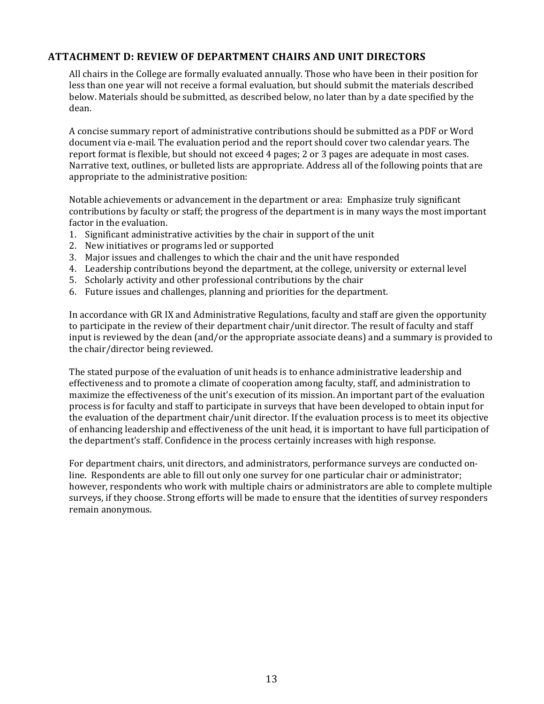### **ATTACHMENT D: REVIEW OF DEPARTMENT CHAIRS AND UNIT DIRECTORS**

All chairs in the College are formally evaluated annually. Those who have been in their position for less than one year will not receive a formal evaluation, but should submit the materials described below. Materials should be submitted, as described below, no later than by a date specified by the dean.

A concise summary report of administrative contributions should be submitted as a PDF or Word document via e-mail. The evaluation period and the report should cover two calendar years. The report format is flexible, but should not exceed 4 pages; 2 or 3 pages are adequate in most cases. Narrative text, outlines, or bulleted lists are appropriate. Address all of the following points that are appropriate to the administrative position:

Notable achievements or advancement in the department or area: Emphasize truly significant contributions by faculty or staff; the progress of the department is in many ways the most important factor in the evaluation.

- 1. Significant administrative activities by the chair in support of the unit
- 2. New initiatives or programs led or supported
- 3. Major issues and challenges to which the chair and the unit have responded
- 4. Leadership contributions beyond the department, at the college, university or external level
- 5. Scholarly activity and other professional contributions by the chair
- 6. Future issues and challenges, planning and priorities for the department.

In accordance with GR IX and Administrative Regulations, faculty and staff are given the opportunity to participate in the review of their department chair/unit director. The result of faculty and staff input is reviewed by the dean (and/or the appropriate associate deans) and a summary is provided to the chair/director being reviewed.

The stated purpose of the evaluation of unit heads is to enhance administrative leadership and effectiveness and to promote a climate of cooperation among faculty, staff, and administration to maximize the effectiveness of the unit's execution of its mission. An important part of the evaluation process is for faculty and staff to participate in surveys that have been developed to obtain input for the evaluation of the department chair/unit director. If the evaluation process is to meet its objective of enhancing leadership and effectiveness of the unit head, it is important to have full participation of the department's staff. Confidence in the process certainly increases with high response.

For department chairs, unit directors, and administrators, performance surveys are conducted online. Respondents are able to fill out only one survey for one particular chair or administrator; however, respondents who work with multiple chairs or administrators are able to complete multiple surveys, if they choose. Strong efforts will be made to ensure that the identities of survey responders remain anonymous.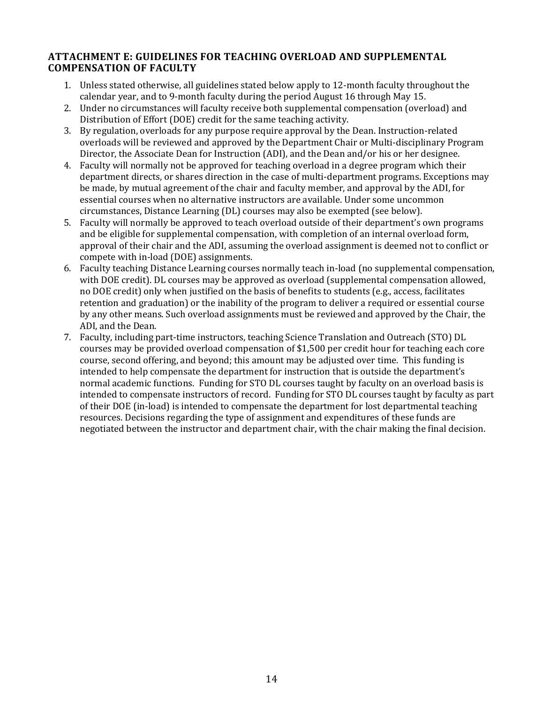### **ATTACHMENT E: GUIDELINES FOR TEACHING OVERLOAD AND SUPPLEMENTAL COMPENSATION OF FACULTY**

- 1. Unless stated otherwise, all guidelines stated below apply to 12-month faculty throughout the calendar year, and to 9-month faculty during the period August 16 through May 15.
- 2. Under no circumstances will faculty receive both supplemental compensation (overload) and Distribution of Effort (DOE) credit for the same teaching activity.
- 3. By regulation, overloads for any purpose require approval by the Dean. Instruction-related overloads will be reviewed and approved by the Department Chair or Multi-disciplinary Program Director, the Associate Dean for Instruction (ADI), and the Dean and/or his or her designee.
- 4. Faculty will normally not be approved for teaching overload in a degree program which their department directs, or shares direction in the case of multi-department programs. Exceptions may be made, by mutual agreement of the chair and faculty member, and approval by the ADI, for essential courses when no alternative instructors are available. Under some uncommon circumstances, Distance Learning (DL) courses may also be exempted (see below).
- 5. Faculty will normally be approved to teach overload outside of their department's own programs and be eligible for supplemental compensation, with completion of an internal overload form, approval of their chair and the ADI, assuming the overload assignment is deemed not to conflict or compete with in-load (DOE) assignments.
- 6. Faculty teaching Distance Learning courses normally teach in-load (no supplemental compensation, with DOE credit). DL courses may be approved as overload (supplemental compensation allowed, no DOE credit) only when justified on the basis of benefits to students (e.g., access, facilitates retention and graduation) or the inability of the program to deliver a required or essential course by any other means. Such overload assignments must be reviewed and approved by the Chair, the ADI, and the Dean.
- 7. Faculty, including part-time instructors, teaching Science Translation and Outreach (STO) DL courses may be provided overload compensation of \$1,500 per credit hour for teaching each core course, second offering, and beyond; this amount may be adjusted over time. This funding is intended to help compensate the department for instruction that is outside the department's normal academic functions. Funding for STO DL courses taught by faculty on an overload basis is intended to compensate instructors of record. Funding for STO DL courses taught by faculty as part of their DOE (in-load) is intended to compensate the department for lost departmental teaching resources. Decisions regarding the type of assignment and expenditures of these funds are negotiated between the instructor and department chair, with the chair making the final decision.